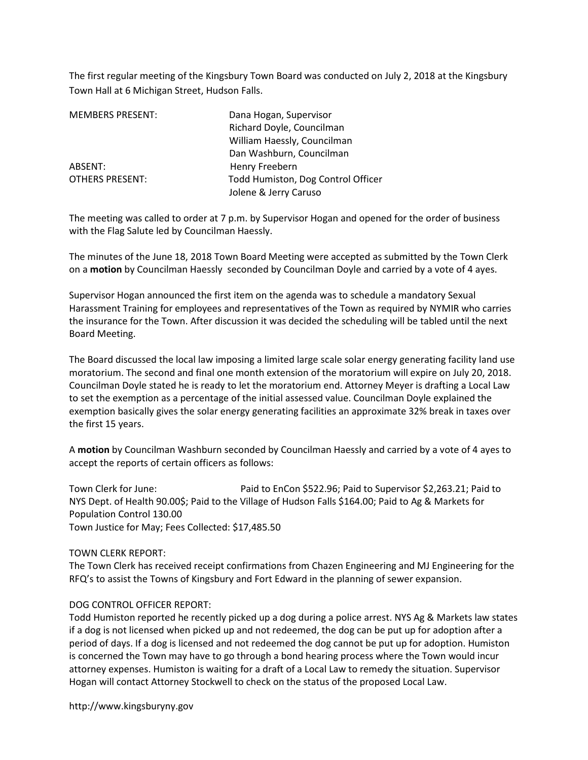The first regular meeting of the Kingsbury Town Board was conducted on July 2, 2018 at the Kingsbury Town Hall at 6 Michigan Street, Hudson Falls.

| <b>MEMBERS PRESENT:</b> | Dana Hogan, Supervisor             |
|-------------------------|------------------------------------|
|                         | Richard Doyle, Councilman          |
|                         | William Haessly, Councilman        |
|                         | Dan Washburn, Councilman           |
| ABSENT:                 | Henry Freebern                     |
| <b>OTHERS PRESENT:</b>  | Todd Humiston, Dog Control Officer |
|                         | Jolene & Jerry Caruso              |

The meeting was called to order at 7 p.m. by Supervisor Hogan and opened for the order of business with the Flag Salute led by Councilman Haessly.

The minutes of the June 18, 2018 Town Board Meeting were accepted as submitted by the Town Clerk on a motion by Councilman Haessly seconded by Councilman Doyle and carried by a vote of 4 ayes.

Supervisor Hogan announced the first item on the agenda was to schedule a mandatory Sexual Harassment Training for employees and representatives of the Town as required by NYMIR who carries the insurance for the Town. After discussion it was decided the scheduling will be tabled until the next Board Meeting.

The Board discussed the local law imposing a limited large scale solar energy generating facility land use moratorium. The second and final one month extension of the moratorium will expire on July 20, 2018. Councilman Doyle stated he is ready to let the moratorium end. Attorney Meyer is drafting a Local Law to set the exemption as a percentage of the initial assessed value. Councilman Doyle explained the exemption basically gives the solar energy generating facilities an approximate 32% break in taxes over the first 15 years.

A motion by Councilman Washburn seconded by Councilman Haessly and carried by a vote of 4 ayes to accept the reports of certain officers as follows:

Town Clerk for June: Paid to EnCon \$522.96; Paid to Supervisor \$2,263.21; Paid to NYS Dept. of Health 90.00\$; Paid to the Village of Hudson Falls \$164.00; Paid to Ag & Markets for Population Control 130.00 Town Justice for May; Fees Collected: \$17,485.50

TOWN CLERK REPORT:

The Town Clerk has received receipt confirmations from Chazen Engineering and MJ Engineering for the RFQ's to assist the Towns of Kingsbury and Fort Edward in the planning of sewer expansion.

## DOG CONTROL OFFICER REPORT:

Todd Humiston reported he recently picked up a dog during a police arrest. NYS Ag & Markets law states if a dog is not licensed when picked up and not redeemed, the dog can be put up for adoption after a period of days. If a dog is licensed and not redeemed the dog cannot be put up for adoption. Humiston is concerned the Town may have to go through a bond hearing process where the Town would incur attorney expenses. Humiston is waiting for a draft of a Local Law to remedy the situation. Supervisor Hogan will contact Attorney Stockwell to check on the status of the proposed Local Law.

http://www.kingsburyny.gov